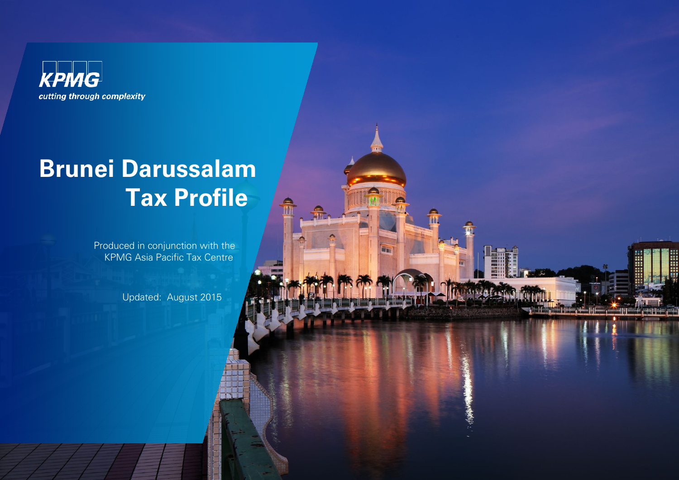

# **Brunei Darussalam Tax Profile**

Produced in conjunction with the KPMG Asia Pacific Tax Centre

 $\frac{1}{10}$ 

 $\bigoplus$ 

Updated: August 2015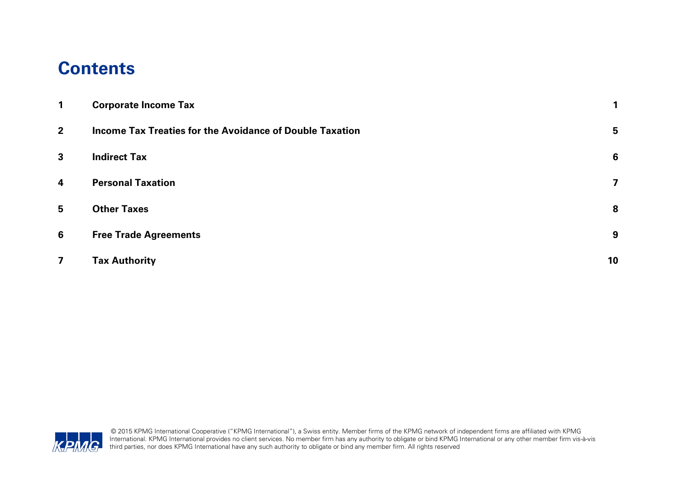### **Contents**

| $\mathbf{1}$            | <b>Corporate Income Tax</b>                              |    |
|-------------------------|----------------------------------------------------------|----|
| $\overline{2}$          | Income Tax Treaties for the Avoidance of Double Taxation | 5  |
| $\mathbf{3}$            | <b>Indirect Tax</b>                                      | 6  |
| $\overline{\mathbf{4}}$ | <b>Personal Taxation</b>                                 | 7  |
| $5\overline{)}$         | <b>Other Taxes</b>                                       | 8  |
| 6                       | <b>Free Trade Agreements</b>                             | 9  |
| $\overline{\mathbf{z}}$ | <b>Tax Authority</b>                                     | 10 |

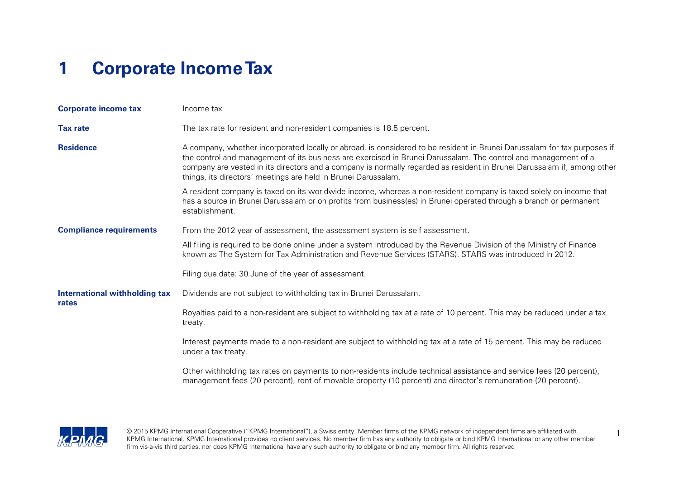# <span id="page-2-0"></span>**1 Corporate Income Tax**

| <b>Corporate income tax</b>            | Income tax                                                                                                                                                                                                                                                                                                                                                                                                                              |  |  |
|----------------------------------------|-----------------------------------------------------------------------------------------------------------------------------------------------------------------------------------------------------------------------------------------------------------------------------------------------------------------------------------------------------------------------------------------------------------------------------------------|--|--|
| <b>Tax rate</b>                        | The tax rate for resident and non-resident companies is 18.5 percent.                                                                                                                                                                                                                                                                                                                                                                   |  |  |
| <b>Residence</b>                       | A company, whether incorporated locally or abroad, is considered to be resident in Brunei Darussalam for tax purposes if<br>the control and management of its business are exercised in Brunei Darussalam. The control and management of a<br>company are vested in its directors and a company is normally regarded as resident in Brunei Darussalam if, among other<br>things, its directors' meetings are held in Brunei Darussalam. |  |  |
|                                        | A resident company is taxed on its worldwide income, whereas a non-resident company is taxed solely on income that<br>has a source in Brunei Darussalam or on profits from business(es) in Brunei operated through a branch or permanent<br>establishment.                                                                                                                                                                              |  |  |
| <b>Compliance requirements</b>         | From the 2012 year of assessment, the assessment system is self assessment.                                                                                                                                                                                                                                                                                                                                                             |  |  |
|                                        | All filing is required to be done online under a system introduced by the Revenue Division of the Ministry of Finance<br>known as The System for Tax Administration and Revenue Services (STARS). STARS was introduced in 2012.                                                                                                                                                                                                         |  |  |
|                                        | Filing due date: 30 June of the year of assessment.                                                                                                                                                                                                                                                                                                                                                                                     |  |  |
| International withholding tax<br>rates | Dividends are not subject to withholding tax in Brunei Darussalam.                                                                                                                                                                                                                                                                                                                                                                      |  |  |
|                                        | Royalties paid to a non-resident are subject to withholding tax at a rate of 10 percent. This may be reduced under a tax<br>treaty.                                                                                                                                                                                                                                                                                                     |  |  |
|                                        | Interest payments made to a non-resident are subject to withholding tax at a rate of 15 percent. This may be reduced<br>under a tax treaty.                                                                                                                                                                                                                                                                                             |  |  |
|                                        | Other withholding tax rates on payments to non-residents include technical assistance and service fees (20 percent),<br>management fees (20 percent), rent of movable property (10 percent) and director's remuneration (20 percent).                                                                                                                                                                                                   |  |  |

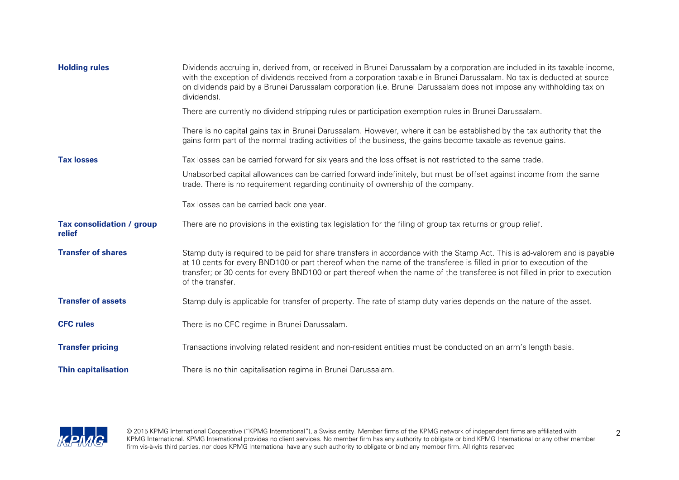| <b>Holding rules</b>                | Dividends accruing in, derived from, or received in Brunei Darussalam by a corporation are included in its taxable income,<br>with the exception of dividends received from a corporation taxable in Brunei Darussalam. No tax is deducted at source<br>on dividends paid by a Brunei Darussalam corporation (i.e. Brunei Darussalam does not impose any withholding tax on<br>dividends).         |
|-------------------------------------|----------------------------------------------------------------------------------------------------------------------------------------------------------------------------------------------------------------------------------------------------------------------------------------------------------------------------------------------------------------------------------------------------|
|                                     | There are currently no dividend stripping rules or participation exemption rules in Brunei Darussalam.                                                                                                                                                                                                                                                                                             |
|                                     | There is no capital gains tax in Brunei Darussalam. However, where it can be established by the tax authority that the<br>gains form part of the normal trading activities of the business, the gains become taxable as revenue gains.                                                                                                                                                             |
| <b>Tax losses</b>                   | Tax losses can be carried forward for six years and the loss offset is not restricted to the same trade.                                                                                                                                                                                                                                                                                           |
|                                     | Unabsorbed capital allowances can be carried forward indefinitely, but must be offset against income from the same<br>trade. There is no requirement regarding continuity of ownership of the company.                                                                                                                                                                                             |
|                                     | Tax losses can be carried back one year.                                                                                                                                                                                                                                                                                                                                                           |
| Tax consolidation / group<br>relief | There are no provisions in the existing tax legislation for the filing of group tax returns or group relief.                                                                                                                                                                                                                                                                                       |
| <b>Transfer of shares</b>           | Stamp duty is required to be paid for share transfers in accordance with the Stamp Act. This is ad-valorem and is payable<br>at 10 cents for every BND100 or part thereof when the name of the transferee is filled in prior to execution of the<br>transfer; or 30 cents for every BND100 or part thereof when the name of the transferee is not filled in prior to execution<br>of the transfer. |
| <b>Transfer of assets</b>           | Stamp duly is applicable for transfer of property. The rate of stamp duty varies depends on the nature of the asset.                                                                                                                                                                                                                                                                               |
| <b>CFC rules</b>                    | There is no CFC regime in Brunei Darussalam.                                                                                                                                                                                                                                                                                                                                                       |
| <b>Transfer pricing</b>             | Transactions involving related resident and non-resident entities must be conducted on an arm's length basis.                                                                                                                                                                                                                                                                                      |
| <b>Thin capitalisation</b>          | There is no thin capitalisation regime in Brunei Darussalam.                                                                                                                                                                                                                                                                                                                                       |

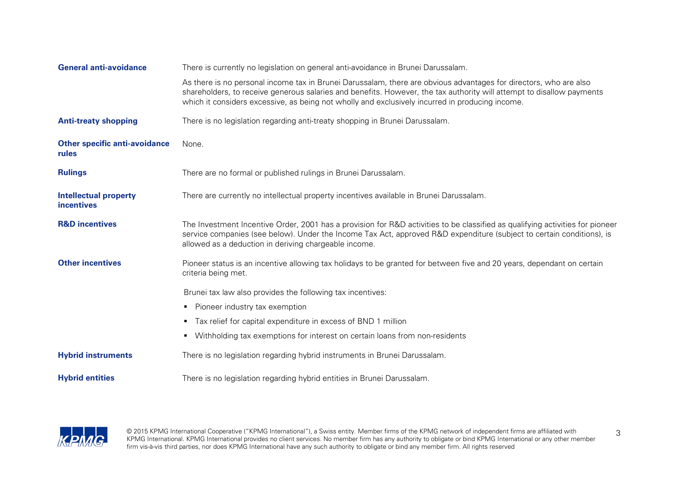| <b>General anti-avoidance</b>                     | There is currently no legislation on general anti-avoidance in Brunei Darussalam.                                                                                                                                                                                                                                                             |
|---------------------------------------------------|-----------------------------------------------------------------------------------------------------------------------------------------------------------------------------------------------------------------------------------------------------------------------------------------------------------------------------------------------|
|                                                   | As there is no personal income tax in Brunei Darussalam, there are obvious advantages for directors, who are also<br>shareholders, to receive generous salaries and benefits. However, the tax authority will attempt to disallow payments<br>which it considers excessive, as being not wholly and exclusively incurred in producing income. |
| <b>Anti-treaty shopping</b>                       | There is no legislation regarding anti-treaty shopping in Brunei Darussalam.                                                                                                                                                                                                                                                                  |
| <b>Other specific anti-avoidance</b><br>rules     | None.                                                                                                                                                                                                                                                                                                                                         |
| <b>Rulings</b>                                    | There are no formal or published rulings in Brunei Darussalam.                                                                                                                                                                                                                                                                                |
| <b>Intellectual property</b><br><b>incentives</b> | There are currently no intellectual property incentives available in Brunei Darussalam.                                                                                                                                                                                                                                                       |
| <b>R&amp;D</b> incentives                         | The Investment Incentive Order, 2001 has a provision for R&D activities to be classified as qualifying activities for pioneer<br>service companies (see below). Under the Income Tax Act, approved R&D expenditure (subject to certain conditions), is<br>allowed as a deduction in deriving chargeable income.                               |
| <b>Other incentives</b>                           | Pioneer status is an incentive allowing tax holidays to be granted for between five and 20 years, dependant on certain<br>criteria being met.                                                                                                                                                                                                 |
|                                                   | Brunei tax law also provides the following tax incentives:                                                                                                                                                                                                                                                                                    |
|                                                   | • Pioneer industry tax exemption                                                                                                                                                                                                                                                                                                              |
|                                                   | • Tax relief for capital expenditure in excess of BND 1 million                                                                                                                                                                                                                                                                               |
|                                                   | Withholding tax exemptions for interest on certain loans from non-residents                                                                                                                                                                                                                                                                   |
| <b>Hybrid instruments</b>                         | There is no legislation regarding hybrid instruments in Brunei Darussalam.                                                                                                                                                                                                                                                                    |
| <b>Hybrid entities</b>                            | There is no legislation regarding hybrid entities in Brunei Darussalam.                                                                                                                                                                                                                                                                       |

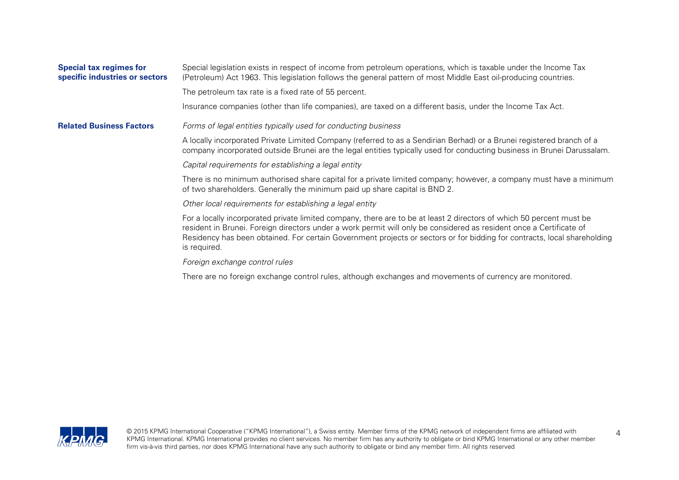| <b>Special tax regimes for</b><br>specific industries or sectors | Special legislation exists in respect of income from petroleum operations, which is taxable under the Income Tax<br>(Petroleum) Act 1963. This legislation follows the general pattern of most Middle East oil-producing countries.<br>The petroleum tax rate is a fixed rate of 55 percent.                                                                                            |
|------------------------------------------------------------------|-----------------------------------------------------------------------------------------------------------------------------------------------------------------------------------------------------------------------------------------------------------------------------------------------------------------------------------------------------------------------------------------|
|                                                                  | Insurance companies (other than life companies), are taxed on a different basis, under the Income Tax Act.                                                                                                                                                                                                                                                                              |
| <b>Related Business Factors</b>                                  | Forms of legal entities typically used for conducting business                                                                                                                                                                                                                                                                                                                          |
|                                                                  | A locally incorporated Private Limited Company (referred to as a Sendirian Berhad) or a Brunei registered branch of a<br>company incorporated outside Brunei are the legal entities typically used for conducting business in Brunei Darussalam.                                                                                                                                        |
|                                                                  | Capital requirements for establishing a legal entity                                                                                                                                                                                                                                                                                                                                    |
|                                                                  | There is no minimum authorised share capital for a private limited company; however, a company must have a minimum<br>of two shareholders. Generally the minimum paid up share capital is BND 2.                                                                                                                                                                                        |
|                                                                  | Other local requirements for establishing a legal entity                                                                                                                                                                                                                                                                                                                                |
|                                                                  | For a locally incorporated private limited company, there are to be at least 2 directors of which 50 percent must be<br>resident in Brunei. Foreign directors under a work permit will only be considered as resident once a Certificate of<br>Residency has been obtained. For certain Government projects or sectors or for bidding for contracts, local shareholding<br>is required. |
|                                                                  | Foreign exchange control rules                                                                                                                                                                                                                                                                                                                                                          |
|                                                                  | There are no foreign exchange control rules, although exchanges and movements of currency are monitored.                                                                                                                                                                                                                                                                                |

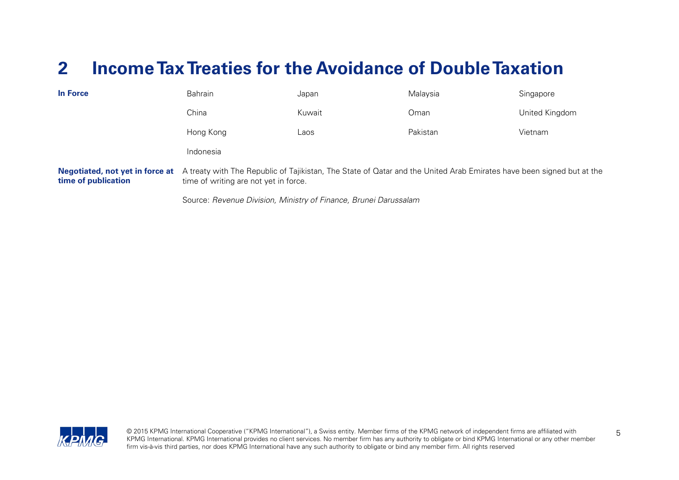# <span id="page-6-0"></span>**2 Income TaxTreaties for the Avoidance of Double Taxation**

| <b>In Force</b>                                               | Bahrain                                                                                                                                                        | Japan  | Malaysia | Singapore      |
|---------------------------------------------------------------|----------------------------------------------------------------------------------------------------------------------------------------------------------------|--------|----------|----------------|
|                                                               | China                                                                                                                                                          | Kuwait | Oman     | United Kingdom |
|                                                               | Hong Kong                                                                                                                                                      | Laos   | Pakistan | Vietnam        |
|                                                               | Indonesia                                                                                                                                                      |        |          |                |
| <b>Negotiated, not yet in force at</b><br>time of publication | A treaty with The Republic of Tajikistan, The State of Qatar and the United Arab Emirates have been signed but at the<br>time of writing are not yet in force. |        |          |                |
|                                                               | Source: Revenue Division, Ministry of Finance, Brunei Darussalam                                                                                               |        |          |                |

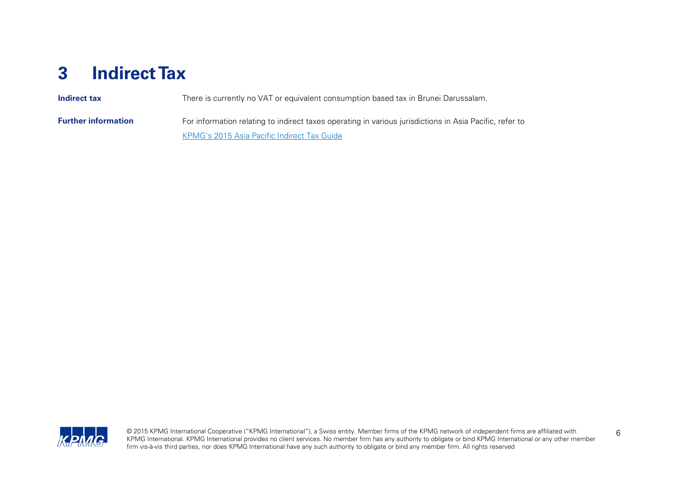# <span id="page-7-0"></span>**3 Indirect Tax**

| <b>Indirect tax</b>        | There is currently no VAT or equivalent consumption based tax in Brunei Darussalam.                     |  |
|----------------------------|---------------------------------------------------------------------------------------------------------|--|
| <b>Further information</b> | For information relating to indirect taxes operating in various jurisdictions in Asia Pacific, refer to |  |
|                            | KPMG's 2015 Asia Pacific Indirect Tax Guide                                                             |  |

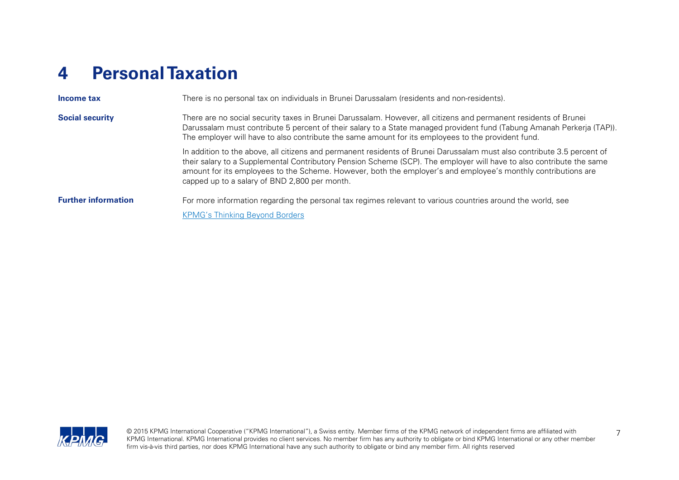# <span id="page-8-0"></span>**4 Personal Taxation**

| Income tax                 | There is no personal tax on individuals in Brunei Darussalam (residents and non-residents).                                                                                                                                                                                                                                                                                                                       |  |
|----------------------------|-------------------------------------------------------------------------------------------------------------------------------------------------------------------------------------------------------------------------------------------------------------------------------------------------------------------------------------------------------------------------------------------------------------------|--|
| <b>Social security</b>     | There are no social security taxes in Brunei Darussalam. However, all citizens and permanent residents of Brunei<br>Darussalam must contribute 5 percent of their salary to a State managed provident fund (Tabung Amanah Perkerja (TAP)).<br>The employer will have to also contribute the same amount for its employees to the provident fund.                                                                  |  |
|                            | In addition to the above, all citizens and permanent residents of Brunei Darussalam must also contribute 3.5 percent of<br>their salary to a Supplemental Contributory Pension Scheme (SCP). The employer will have to also contribute the same<br>amount for its employees to the Scheme. However, both the employer's and employee's monthly contributions are<br>capped up to a salary of BND 2,800 per month. |  |
| <b>Further information</b> | For more information regarding the personal tax regimes relevant to various countries around the world, see<br><b>KPMG's Thinking Beyond Borders</b>                                                                                                                                                                                                                                                              |  |

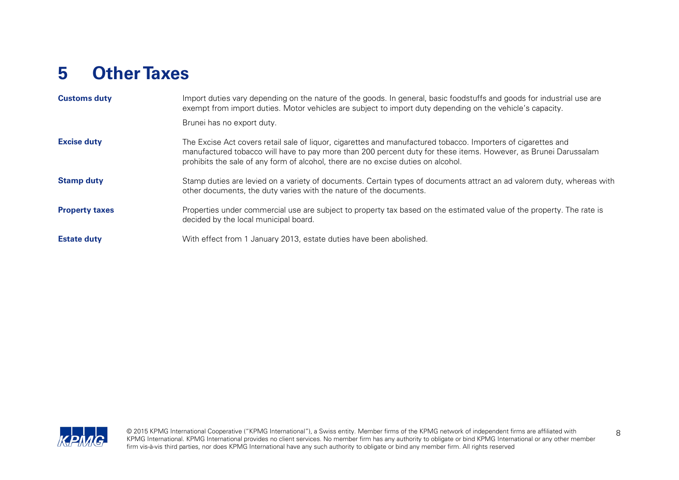# <span id="page-9-0"></span>**5 Other Taxes**

| <b>Customs duty</b>   | Import duties vary depending on the nature of the goods. In general, basic foodstuffs and goods for industrial use are<br>exempt from import duties. Motor vehicles are subject to import duty depending on the vehicle's capacity.                                                                                   |
|-----------------------|-----------------------------------------------------------------------------------------------------------------------------------------------------------------------------------------------------------------------------------------------------------------------------------------------------------------------|
|                       | Brunei has no export duty.                                                                                                                                                                                                                                                                                            |
| <b>Excise duty</b>    | The Excise Act covers retail sale of liquor, cigarettes and manufactured tobacco. Importers of cigarettes and<br>manufactured tobacco will have to pay more than 200 percent duty for these items. However, as Brunei Darussalam<br>prohibits the sale of any form of alcohol, there are no excise duties on alcohol. |
| <b>Stamp duty</b>     | Stamp duties are levied on a variety of documents. Certain types of documents attract an ad valorem duty, whereas with<br>other documents, the duty varies with the nature of the documents.                                                                                                                          |
| <b>Property taxes</b> | Properties under commercial use are subject to property tax based on the estimated value of the property. The rate is<br>decided by the local municipal board.                                                                                                                                                        |
| <b>Estate duty</b>    | With effect from 1 January 2013, estate duties have been abolished.                                                                                                                                                                                                                                                   |

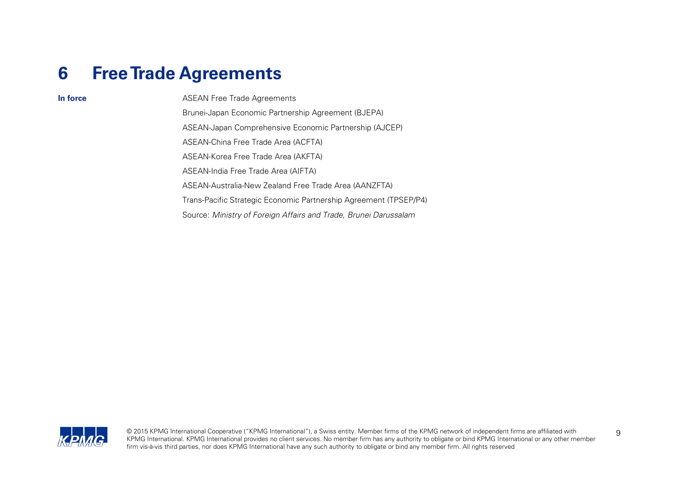### <span id="page-10-0"></span>**6 Free Trade Agreements**

**In force** ASEAN Free Trade Agreements Brunei-Japan Economic Partnership Agreement (BJEPA) ASEAN-Japan Comprehensive Economic Partnership (AJCEP) ASEAN-China Free Trade Area (ACFTA) ASEAN-Korea Free Trade Area (AKFTA) ASEAN-India Free Trade Area (AIFTA) ASEAN-Australia-New Zealand Free Trade Area (AANZFTA) Trans-Pacific Strategic Economic Partnership Agreement (TPSEP/P4) Source: Ministry of Foreign Affairs and Trade, Brunei Darussalam

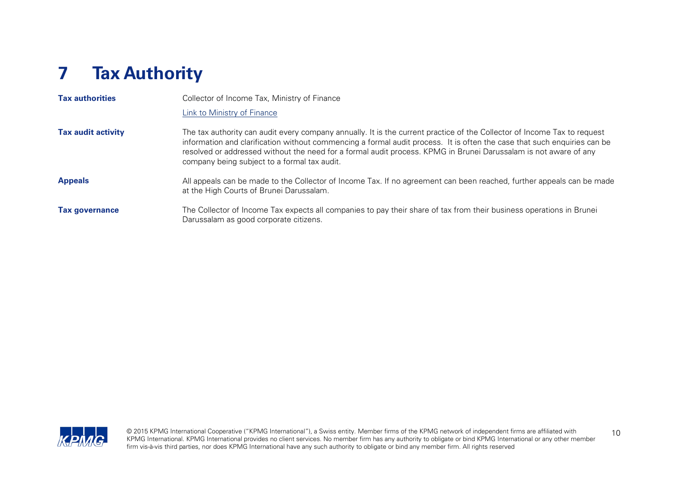# <span id="page-11-0"></span>**7 Tax Authority**

| <b>Tax authorities</b>    | Collector of Income Tax, Ministry of Finance                                                                                                                                                                                                                                                                                                                                                                             |
|---------------------------|--------------------------------------------------------------------------------------------------------------------------------------------------------------------------------------------------------------------------------------------------------------------------------------------------------------------------------------------------------------------------------------------------------------------------|
|                           | Link to Ministry of Finance                                                                                                                                                                                                                                                                                                                                                                                              |
| <b>Tax audit activity</b> | The tax authority can audit every company annually. It is the current practice of the Collector of Income Tax to request<br>information and clarification without commencing a formal audit process. It is often the case that such enquiries can be<br>resolved or addressed without the need for a formal audit process. KPMG in Brunei Darussalam is not aware of any<br>company being subject to a formal tax audit. |
| <b>Appeals</b>            | All appeals can be made to the Collector of Income Tax. If no agreement can been reached, further appeals can be made<br>at the High Courts of Brunei Darussalam.                                                                                                                                                                                                                                                        |
| <b>Tax governance</b>     | The Collector of Income Tax expects all companies to pay their share of tax from their business operations in Brunei<br>Darussalam as good corporate citizens.                                                                                                                                                                                                                                                           |